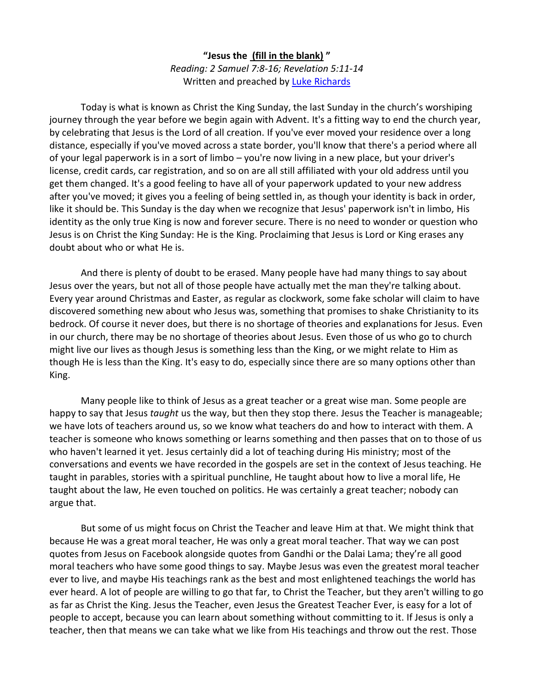**"Jesus the (fill in the blank) "** *Reading: 2 Samuel 7:8-16; Revelation 5:11-14* Written and preached by [Luke Richards](http://lukerichards.blogspot.com/)

Today is what is known as Christ the King Sunday, the last Sunday in the church's worshiping journey through the year before we begin again with Advent. It's a fitting way to end the church year, by celebrating that Jesus is the Lord of all creation. If you've ever moved your residence over a long distance, especially if you've moved across a state border, you'll know that there's a period where all of your legal paperwork is in a sort of limbo – you're now living in a new place, but your driver's license, credit cards, car registration, and so on are all still affiliated with your old address until you get them changed. It's a good feeling to have all of your paperwork updated to your new address after you've moved; it gives you a feeling of being settled in, as though your identity is back in order, like it should be. This Sunday is the day when we recognize that Jesus' paperwork isn't in limbo, His identity as the only true King is now and forever secure. There is no need to wonder or question who Jesus is on Christ the King Sunday: He is the King. Proclaiming that Jesus is Lord or King erases any doubt about who or what He is.

And there is plenty of doubt to be erased. Many people have had many things to say about Jesus over the years, but not all of those people have actually met the man they're talking about. Every year around Christmas and Easter, as regular as clockwork, some fake scholar will claim to have discovered something new about who Jesus was, something that promises to shake Christianity to its bedrock. Of course it never does, but there is no shortage of theories and explanations for Jesus. Even in our church, there may be no shortage of theories about Jesus. Even those of us who go to church might live our lives as though Jesus is something less than the King, or we might relate to Him as though He is less than the King. It's easy to do, especially since there are so many options other than King.

Many people like to think of Jesus as a great teacher or a great wise man. Some people are happy to say that Jesus *taught* us the way, but then they stop there. Jesus the Teacher is manageable; we have lots of teachers around us, so we know what teachers do and how to interact with them. A teacher is someone who knows something or learns something and then passes that on to those of us who haven't learned it yet. Jesus certainly did a lot of teaching during His ministry; most of the conversations and events we have recorded in the gospels are set in the context of Jesus teaching. He taught in parables, stories with a spiritual punchline, He taught about how to live a moral life, He taught about the law, He even touched on politics. He was certainly a great teacher; nobody can argue that.

But some of us might focus on Christ the Teacher and leave Him at that. We might think that because He was a great moral teacher, He was only a great moral teacher. That way we can post quotes from Jesus on Facebook alongside quotes from Gandhi or the Dalai Lama; they're all good moral teachers who have some good things to say. Maybe Jesus was even the greatest moral teacher ever to live, and maybe His teachings rank as the best and most enlightened teachings the world has ever heard. A lot of people are willing to go that far, to Christ the Teacher, but they aren't willing to go as far as Christ the King. Jesus the Teacher, even Jesus the Greatest Teacher Ever, is easy for a lot of people to accept, because you can learn about something without committing to it. If Jesus is only a teacher, then that means we can take what we like from His teachings and throw out the rest. Those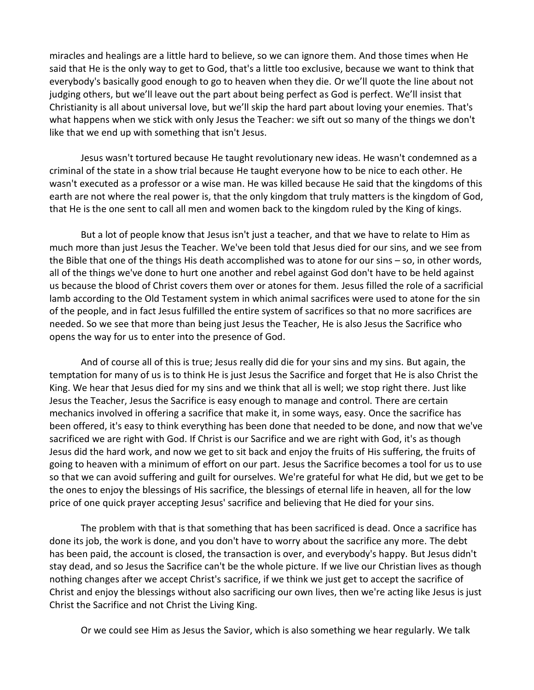miracles and healings are a little hard to believe, so we can ignore them. And those times when He said that He is the only way to get to God, that's a little too exclusive, because we want to think that everybody's basically good enough to go to heaven when they die. Or we'll quote the line about not judging others, but we'll leave out the part about being perfect as God is perfect. We'll insist that Christianity is all about universal love, but we'll skip the hard part about loving your enemies. That's what happens when we stick with only Jesus the Teacher: we sift out so many of the things we don't like that we end up with something that isn't Jesus.

Jesus wasn't tortured because He taught revolutionary new ideas. He wasn't condemned as a criminal of the state in a show trial because He taught everyone how to be nice to each other. He wasn't executed as a professor or a wise man. He was killed because He said that the kingdoms of this earth are not where the real power is, that the only kingdom that truly matters is the kingdom of God, that He is the one sent to call all men and women back to the kingdom ruled by the King of kings.

But a lot of people know that Jesus isn't just a teacher, and that we have to relate to Him as much more than just Jesus the Teacher. We've been told that Jesus died for our sins, and we see from the Bible that one of the things His death accomplished was to atone for our sins – so, in other words, all of the things we've done to hurt one another and rebel against God don't have to be held against us because the blood of Christ covers them over or atones for them. Jesus filled the role of a sacrificial lamb according to the Old Testament system in which animal sacrifices were used to atone for the sin of the people, and in fact Jesus fulfilled the entire system of sacrifices so that no more sacrifices are needed. So we see that more than being just Jesus the Teacher, He is also Jesus the Sacrifice who opens the way for us to enter into the presence of God.

And of course all of this is true; Jesus really did die for your sins and my sins. But again, the temptation for many of us is to think He is just Jesus the Sacrifice and forget that He is also Christ the King. We hear that Jesus died for my sins and we think that all is well; we stop right there. Just like Jesus the Teacher, Jesus the Sacrifice is easy enough to manage and control. There are certain mechanics involved in offering a sacrifice that make it, in some ways, easy. Once the sacrifice has been offered, it's easy to think everything has been done that needed to be done, and now that we've sacrificed we are right with God. If Christ is our Sacrifice and we are right with God, it's as though Jesus did the hard work, and now we get to sit back and enjoy the fruits of His suffering, the fruits of going to heaven with a minimum of effort on our part. Jesus the Sacrifice becomes a tool for us to use so that we can avoid suffering and guilt for ourselves. We're grateful for what He did, but we get to be the ones to enjoy the blessings of His sacrifice, the blessings of eternal life in heaven, all for the low price of one quick prayer accepting Jesus' sacrifice and believing that He died for your sins.

The problem with that is that something that has been sacrificed is dead. Once a sacrifice has done its job, the work is done, and you don't have to worry about the sacrifice any more. The debt has been paid, the account is closed, the transaction is over, and everybody's happy. But Jesus didn't stay dead, and so Jesus the Sacrifice can't be the whole picture. If we live our Christian lives as though nothing changes after we accept Christ's sacrifice, if we think we just get to accept the sacrifice of Christ and enjoy the blessings without also sacrificing our own lives, then we're acting like Jesus is just Christ the Sacrifice and not Christ the Living King.

Or we could see Him as Jesus the Savior, which is also something we hear regularly. We talk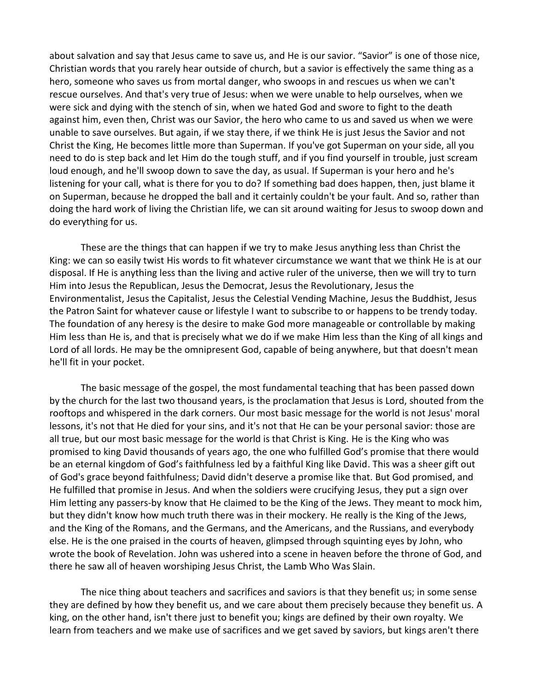about salvation and say that Jesus came to save us, and He is our savior. "Savior" is one of those nice, Christian words that you rarely hear outside of church, but a savior is effectively the same thing as a hero, someone who saves us from mortal danger, who swoops in and rescues us when we can't rescue ourselves. And that's very true of Jesus: when we were unable to help ourselves, when we were sick and dying with the stench of sin, when we hated God and swore to fight to the death against him, even then, Christ was our Savior, the hero who came to us and saved us when we were unable to save ourselves. But again, if we stay there, if we think He is just Jesus the Savior and not Christ the King, He becomes little more than Superman. If you've got Superman on your side, all you need to do is step back and let Him do the tough stuff, and if you find yourself in trouble, just scream loud enough, and he'll swoop down to save the day, as usual. If Superman is your hero and he's listening for your call, what is there for you to do? If something bad does happen, then, just blame it on Superman, because he dropped the ball and it certainly couldn't be your fault. And so, rather than doing the hard work of living the Christian life, we can sit around waiting for Jesus to swoop down and do everything for us.

These are the things that can happen if we try to make Jesus anything less than Christ the King: we can so easily twist His words to fit whatever circumstance we want that we think He is at our disposal. If He is anything less than the living and active ruler of the universe, then we will try to turn Him into Jesus the Republican, Jesus the Democrat, Jesus the Revolutionary, Jesus the Environmentalist, Jesus the Capitalist, Jesus the Celestial Vending Machine, Jesus the Buddhist, Jesus the Patron Saint for whatever cause or lifestyle I want to subscribe to or happens to be trendy today. The foundation of any heresy is the desire to make God more manageable or controllable by making Him less than He is, and that is precisely what we do if we make Him less than the King of all kings and Lord of all lords. He may be the omnipresent God, capable of being anywhere, but that doesn't mean he'll fit in your pocket.

The basic message of the gospel, the most fundamental teaching that has been passed down by the church for the last two thousand years, is the proclamation that Jesus is Lord, shouted from the rooftops and whispered in the dark corners. Our most basic message for the world is not Jesus' moral lessons, it's not that He died for your sins, and it's not that He can be your personal savior: those are all true, but our most basic message for the world is that Christ is King. He is the King who was promised to king David thousands of years ago, the one who fulfilled God's promise that there would be an eternal kingdom of God's faithfulness led by a faithful King like David. This was a sheer gift out of God's grace beyond faithfulness; David didn't deserve a promise like that. But God promised, and He fulfilled that promise in Jesus. And when the soldiers were crucifying Jesus, they put a sign over Him letting any passers-by know that He claimed to be the King of the Jews. They meant to mock him, but they didn't know how much truth there was in their mockery. He really is the King of the Jews, and the King of the Romans, and the Germans, and the Americans, and the Russians, and everybody else. He is the one praised in the courts of heaven, glimpsed through squinting eyes by John, who wrote the book of Revelation. John was ushered into a scene in heaven before the throne of God, and there he saw all of heaven worshiping Jesus Christ, the Lamb Who Was Slain.

The nice thing about teachers and sacrifices and saviors is that they benefit us; in some sense they are defined by how they benefit us, and we care about them precisely because they benefit us. A king, on the other hand, isn't there just to benefit you; kings are defined by their own royalty. We learn from teachers and we make use of sacrifices and we get saved by saviors, but kings aren't there